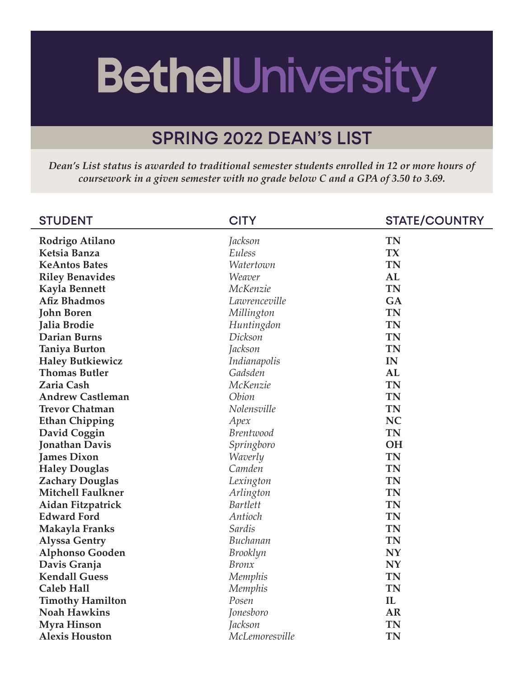## **BethelUniversity**

## **SPRING 2022 DEAN'S LIST**

*Dean's List status is awarded to traditional semester students enrolled in 12 or more hours of coursework in a given semester with no grade below C and a GPA of 3.50 to 3.69.*

| <b>STUDENT</b>           | <b>CITY</b>      | <b>STATE/COUNTRY</b> |
|--------------------------|------------------|----------------------|
| Rodrigo Atilano          | Jackson          | <b>TN</b>            |
| Ketsia Banza             | Euless           | <b>TX</b>            |
| <b>KeAntos Bates</b>     | Watertown        | <b>TN</b>            |
| <b>Riley Benavides</b>   | Weaver           | <b>AL</b>            |
| <b>Kayla Bennett</b>     | McKenzie         | <b>TN</b>            |
| <b>Afiz Bhadmos</b>      | Lawrenceville    | GA                   |
| <b>John Boren</b>        | Millington       | <b>TN</b>            |
| Jalia Brodie             | Huntingdon       | <b>TN</b>            |
| <b>Darian Burns</b>      | Dickson          | <b>TN</b>            |
| <b>Taniya Burton</b>     | Jackson          | <b>TN</b>            |
| <b>Haley Butkiewicz</b>  | Indianapolis     | IN                   |
| <b>Thomas Butler</b>     | Gadsden          | AL                   |
| <b>Zaria Cash</b>        | McKenzie         | <b>TN</b>            |
| <b>Andrew Castleman</b>  | Obion            | <b>TN</b>            |
| <b>Trevor Chatman</b>    | Nolensville      | <b>TN</b>            |
| <b>Ethan Chipping</b>    | Apex             | <b>NC</b>            |
| David Coggin             | <b>Brentwood</b> | <b>TN</b>            |
| <b>Jonathan Davis</b>    | Springboro       | <b>OH</b>            |
| <b>James Dixon</b>       | Waverly          | <b>TN</b>            |
| <b>Haley Douglas</b>     | Camden           | <b>TN</b>            |
| <b>Zachary Douglas</b>   | Lexington        | <b>TN</b>            |
| <b>Mitchell Faulkner</b> | Arlington        | <b>TN</b>            |
| Aidan Fitzpatrick        | <b>Bartlett</b>  | <b>TN</b>            |
| <b>Edward Ford</b>       | Antioch          | <b>TN</b>            |
| Makayla Franks           | Sardis           | <b>TN</b>            |
| <b>Alyssa Gentry</b>     | Buchanan         | <b>TN</b>            |
| <b>Alphonso Gooden</b>   | Brooklyn         | <b>NY</b>            |
| Davis Granja             | <b>Bronx</b>     | <b>NY</b>            |
| <b>Kendall Guess</b>     | Memphis          | <b>TN</b>            |
| <b>Caleb Hall</b>        | Memphis          | <b>TN</b>            |
| <b>Timothy Hamilton</b>  | Posen            | $\mathbf{IL}$        |
| <b>Noah Hawkins</b>      | Jonesboro        | <b>AR</b>            |
| <b>Myra Hinson</b>       | Jackson          | <b>TN</b>            |
| <b>Alexis Houston</b>    | McLemoresville   | <b>TN</b>            |